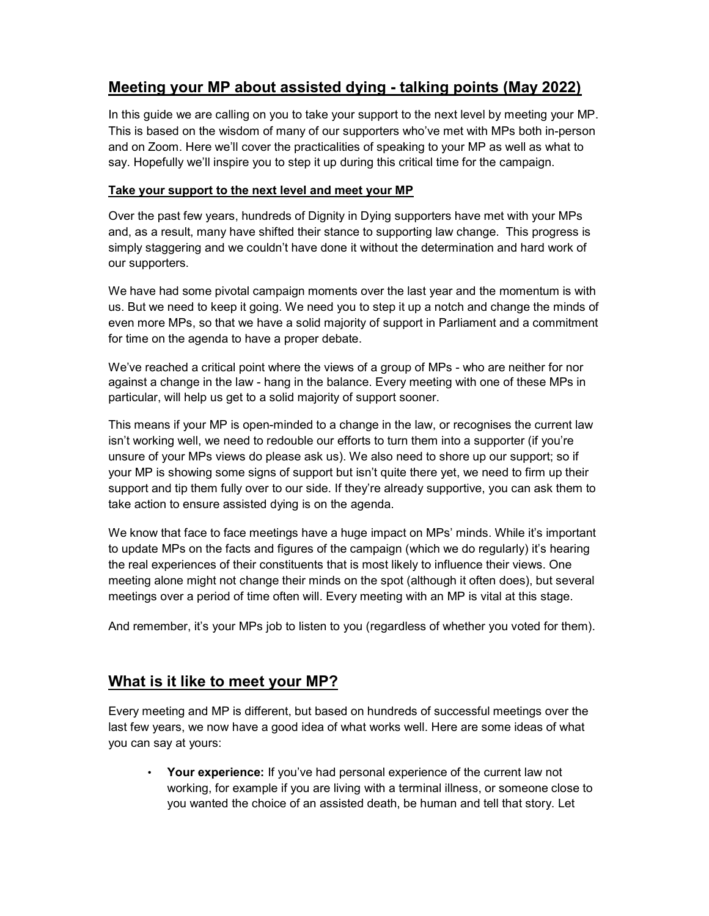# Meeting your MP about assisted dying - talking points (May 2022)

In this guide we are calling on you to take your support to the next level by meeting your MP. This is based on the wisdom of many of our supporters who've met with MPs both in-person and on Zoom. Here we'll cover the practicalities of speaking to your MP as well as what to say. Hopefully we'll inspire you to step it up during this critical time for the campaign.

#### Take your support to the next level and meet your MP

Over the past few years, hundreds of Dignity in Dying supporters have met with your MPs and, as a result, many have shifted their stance to supporting law change. This progress is simply staggering and we couldn't have done it without the determination and hard work of our supporters.

We have had some pivotal campaign moments over the last year and the momentum is with us. But we need to keep it going. We need you to step it up a notch and change the minds of even more MPs, so that we have a solid majority of support in Parliament and a commitment for time on the agenda to have a proper debate.

We've reached a critical point where the views of a group of MPs - who are neither for nor against a change in the law - hang in the balance. Every meeting with one of these MPs in particular, will help us get to a solid majority of support sooner.

This means if your MP is open-minded to a change in the law, or recognises the current law isn't working well, we need to redouble our efforts to turn them into a supporter (if you're unsure of your MPs views do please ask us). We also need to shore up our support; so if your MP is showing some signs of support but isn't quite there yet, we need to firm up their support and tip them fully over to our side. If they're already supportive, you can ask them to take action to ensure assisted dying is on the agenda.

We know that face to face meetings have a huge impact on MPs' minds. While it's important to update MPs on the facts and figures of the campaign (which we do regularly) it's hearing the real experiences of their constituents that is most likely to influence their views. One meeting alone might not change their minds on the spot (although it often does), but several meetings over a period of time often will. Every meeting with an MP is vital at this stage.

And remember, it's your MPs job to listen to you (regardless of whether you voted for them).

## What is it like to meet your MP?

Every meeting and MP is different, but based on hundreds of successful meetings over the last few years, we now have a good idea of what works well. Here are some ideas of what you can say at yours:

Your experience: If you've had personal experience of the current law not working, for example if you are living with a terminal illness, or someone close to you wanted the choice of an assisted death, be human and tell that story. Let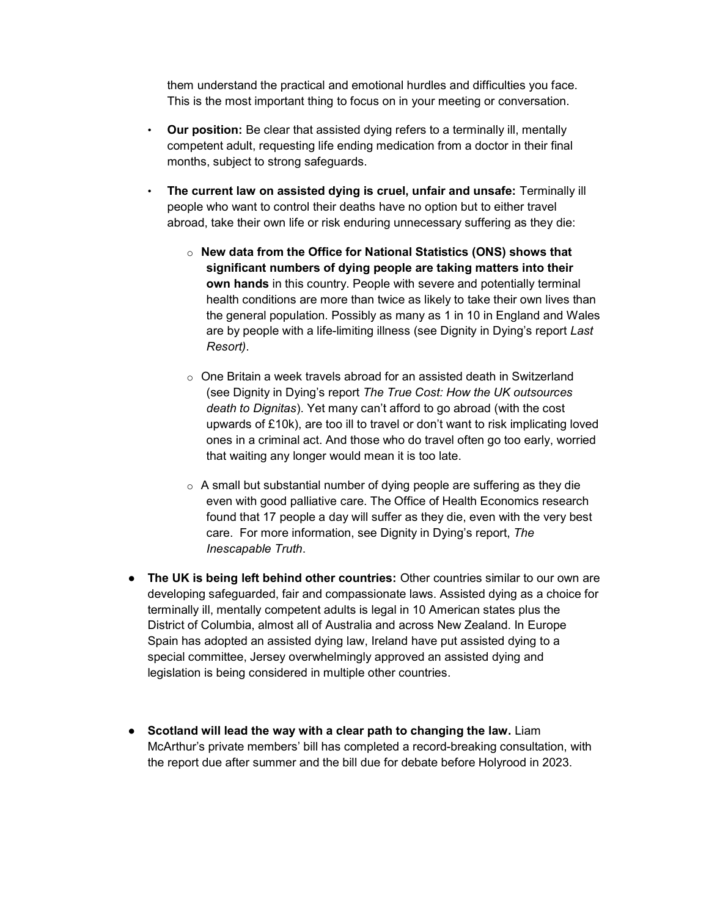them understand the practical and emotional hurdles and difficulties you face. This is the most important thing to focus on in your meeting or conversation.

- **Our position:** Be clear that assisted dying refers to a terminally ill, mentally competent adult, requesting life ending medication from a doctor in their final months, subject to strong safeguards.
- The current law on assisted dying is cruel, unfair and unsafe: Terminally ill people who want to control their deaths have no option but to either travel abroad, take their own life or risk enduring unnecessary suffering as they die:
	- $\circ$  New data from the Office for National Statistics (ONS) shows that significant numbers of dying people are taking matters into their own hands in this country. People with severe and potentially terminal health conditions are more than twice as likely to take their own lives than the general population. Possibly as many as 1 in 10 in England and Wales are by people with a life-limiting illness (see Dignity in Dying's report Last Resort).
	- o One Britain a week travels abroad for an assisted death in Switzerland (see Dignity in Dying's report The True Cost: How the UK outsources death to Dignitas). Yet many can't afford to go abroad (with the cost upwards of £10k), are too ill to travel or don't want to risk implicating loved ones in a criminal act. And those who do travel often go too early, worried that waiting any longer would mean it is too late.
	- $\circ$  A small but substantial number of dying people are suffering as they die even with good palliative care. The Office of Health Economics research found that 17 people a day will suffer as they die, even with the very best care. For more information, see Dignity in Dying's report, The Inescapable Truth.
- The UK is being left behind other countries: Other countries similar to our own are developing safeguarded, fair and compassionate laws. Assisted dying as a choice for terminally ill, mentally competent adults is legal in 10 American states plus the District of Columbia, almost all of Australia and across New Zealand. In Europe Spain has adopted an assisted dying law, Ireland have put assisted dying to a special committee, Jersey overwhelmingly approved an assisted dying and legislation is being considered in multiple other countries.
- Scotland will lead the way with a clear path to changing the law. Liam McArthur's private members' bill has completed a record-breaking consultation, with the report due after summer and the bill due for debate before Holyrood in 2023.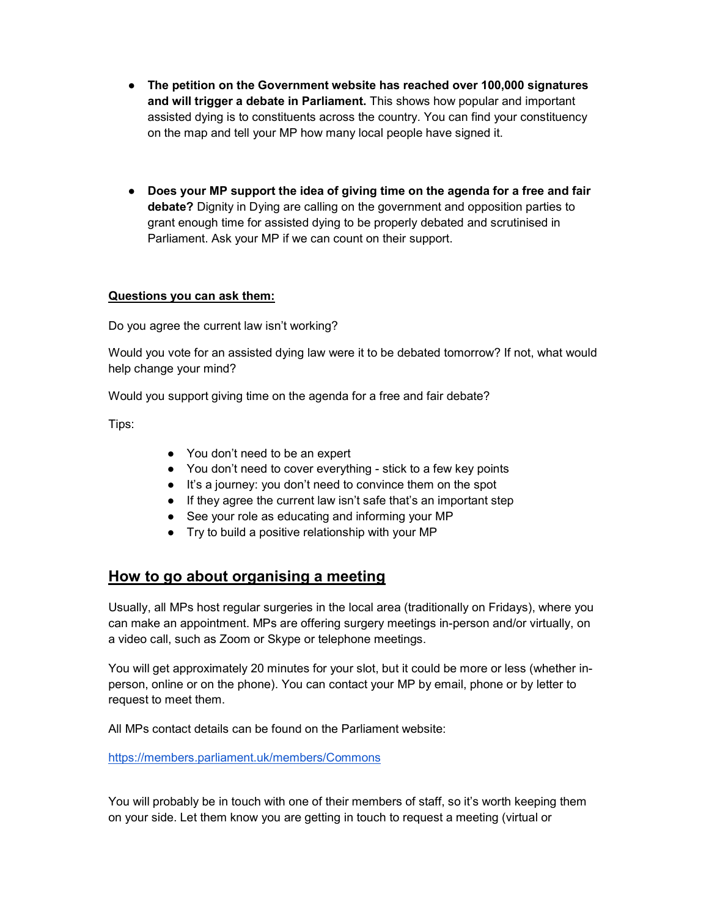- The petition on the Government website has reached over 100,000 signatures and will trigger a debate in Parliament. This shows how popular and important assisted dying is to constituents across the country. You can find your constituency on the map and tell your MP how many local people have signed it.
- Does your MP support the idea of giving time on the agenda for a free and fair debate? Dignity in Dying are calling on the government and opposition parties to grant enough time for assisted dying to be properly debated and scrutinised in Parliament. Ask your MP if we can count on their support.

#### Questions you can ask them:

Do you agree the current law isn't working?

Would you vote for an assisted dying law were it to be debated tomorrow? If not, what would help change your mind?

Would you support giving time on the agenda for a free and fair debate?

Tips:

- You don't need to be an expert
- You don't need to cover everything stick to a few key points
- It's a journey: you don't need to convince them on the spot
- If they agree the current law isn't safe that's an important step
- See your role as educating and informing your MP
- Try to build a positive relationship with your MP

## How to go about organising a meeting

Usually, all MPs host regular surgeries in the local area (traditionally on Fridays), where you can make an appointment. MPs are offering surgery meetings in-person and/or virtually, on a video call, such as Zoom or Skype or telephone meetings.

You will get approximately 20 minutes for your slot, but it could be more or less (whether inperson, online or on the phone). You can contact your MP by email, phone or by letter to request to meet them.

All MPs contact details can be found on the Parliament website:

https://members.parliament.uk/members/Commons

You will probably be in touch with one of their members of staff, so it's worth keeping them on your side. Let them know you are getting in touch to request a meeting (virtual or